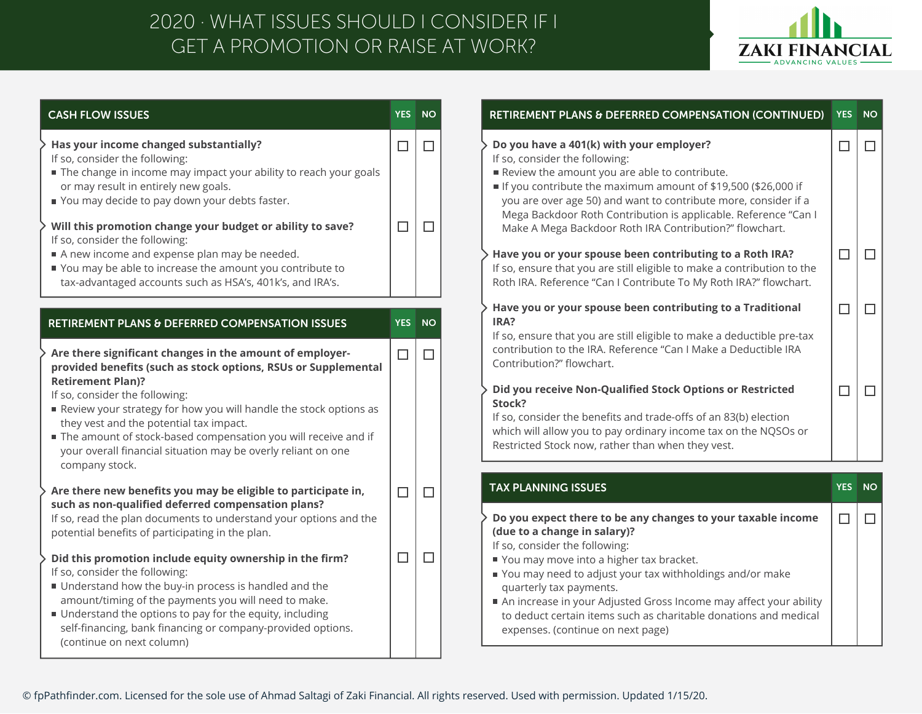## GET A PROMOTION OR RAISE AT WORK? 2020 · WHAT ISSUES SHOULD I CONSIDER IF I



| <b>CASH FLOW ISSUES</b>                                                                                                                                                                                                                                                                                                                                                                                                                                                                                                                            | <b>YES</b>  | <b>NO</b>        |
|----------------------------------------------------------------------------------------------------------------------------------------------------------------------------------------------------------------------------------------------------------------------------------------------------------------------------------------------------------------------------------------------------------------------------------------------------------------------------------------------------------------------------------------------------|-------------|------------------|
| Has your income changed substantially?<br>If so, consider the following:<br>The change in income may impact your ability to reach your goals<br>or may result in entirely new goals.<br>You may decide to pay down your debts faster.<br>Will this promotion change your budget or ability to save?<br>If so, consider the following:                                                                                                                                                                                                              | □<br>$\Box$ | $\Box$<br>$\Box$ |
| A new income and expense plan may be needed.<br>You may be able to increase the amount you contribute to<br>tax-advantaged accounts such as HSA's, 401k's, and IRA's.                                                                                                                                                                                                                                                                                                                                                                              |             |                  |
| RETIREMENT PLANS & DEFERRED COMPENSATION ISSUES                                                                                                                                                                                                                                                                                                                                                                                                                                                                                                    | <b>YES</b>  | <b>NO</b>        |
| Are there significant changes in the amount of employer-<br>provided benefits (such as stock options, RSUs or Supplemental<br><b>Retirement Plan)?</b><br>If so, consider the following:<br>Review your strategy for how you will handle the stock options as<br>they vest and the potential tax impact.<br>The amount of stock-based compensation you will receive and if<br>your overall financial situation may be overly reliant on one<br>company stock.                                                                                      | $\Box$      | $\Box$           |
| Are there new benefits you may be eligible to participate in,                                                                                                                                                                                                                                                                                                                                                                                                                                                                                      | $\Box$      | $\Box$           |
| such as non-qualified deferred compensation plans?<br>If so, read the plan documents to understand your options and the<br>potential benefits of participating in the plan.<br>Did this promotion include equity ownership in the firm?<br>If so, consider the following:<br>Understand how the buy-in process is handled and the<br>amount/timing of the payments you will need to make.<br>■ Understand the options to pay for the equity, including<br>self-financing, bank financing or company-provided options.<br>(continue on next column) | $\Box$      | $\Box$           |